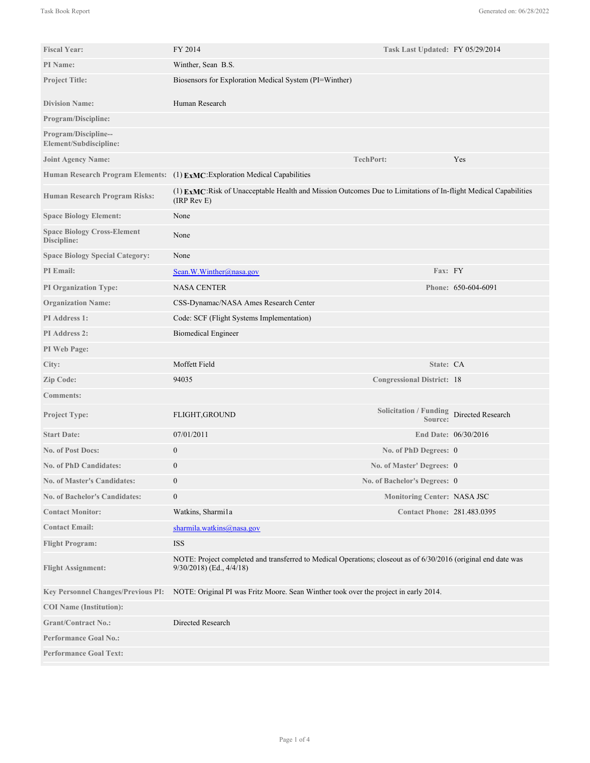| <b>Fiscal Year:</b>                               | FY 2014                                                                                                                                    | Task Last Updated: FY 05/29/2014                    |                      |
|---------------------------------------------------|--------------------------------------------------------------------------------------------------------------------------------------------|-----------------------------------------------------|----------------------|
| <b>PI</b> Name:                                   | Winther, Sean B.S.                                                                                                                         |                                                     |                      |
| <b>Project Title:</b>                             | Biosensors for Exploration Medical System (PI=Winther)                                                                                     |                                                     |                      |
| <b>Division Name:</b>                             | Human Research                                                                                                                             |                                                     |                      |
| <b>Program/Discipline:</b>                        |                                                                                                                                            |                                                     |                      |
|                                                   |                                                                                                                                            |                                                     |                      |
| Program/Discipline--<br>Element/Subdiscipline:    |                                                                                                                                            |                                                     |                      |
| <b>Joint Agency Name:</b>                         |                                                                                                                                            | <b>TechPort:</b>                                    | Yes                  |
|                                                   | Human Research Program Elements: (1) ExMC: Exploration Medical Capabilities                                                                |                                                     |                      |
| <b>Human Research Program Risks:</b>              | (1) EXMC: Risk of Unacceptable Health and Mission Outcomes Due to Limitations of In-flight Medical Capabilities<br>(IRP Rev E)             |                                                     |                      |
| <b>Space Biology Element:</b>                     | None                                                                                                                                       |                                                     |                      |
| <b>Space Biology Cross-Element</b><br>Discipline: | None                                                                                                                                       |                                                     |                      |
| <b>Space Biology Special Category:</b>            | None                                                                                                                                       |                                                     |                      |
| <b>PI</b> Email:                                  | Sean.W.Winther@nasa.gov                                                                                                                    | Fax: FY                                             |                      |
| <b>PI Organization Type:</b>                      | <b>NASA CENTER</b>                                                                                                                         |                                                     | Phone: 650-604-6091  |
| <b>Organization Name:</b>                         | CSS-Dynamac/NASA Ames Research Center                                                                                                      |                                                     |                      |
| <b>PI</b> Address 1:                              | Code: SCF (Flight Systems Implementation)                                                                                                  |                                                     |                      |
| PI Address 2:                                     | <b>Biomedical Engineer</b>                                                                                                                 |                                                     |                      |
| PI Web Page:                                      |                                                                                                                                            |                                                     |                      |
| City:                                             | Moffett Field                                                                                                                              | State: CA                                           |                      |
| Zip Code:                                         | 94035                                                                                                                                      | <b>Congressional District: 18</b>                   |                      |
| <b>Comments:</b>                                  |                                                                                                                                            |                                                     |                      |
| <b>Project Type:</b>                              | FLIGHT, GROUND                                                                                                                             | Solicitation / Funding Directed Research<br>Source: |                      |
| <b>Start Date:</b>                                | 07/01/2011                                                                                                                                 |                                                     | End Date: 06/30/2016 |
| <b>No. of Post Docs:</b>                          | $\mathbf{0}$                                                                                                                               | No. of PhD Degrees: 0                               |                      |
| <b>No. of PhD Candidates:</b>                     | $\theta$                                                                                                                                   | No. of Master' Degrees: 0                           |                      |
| <b>No. of Master's Candidates:</b>                | $\mathbf{0}$                                                                                                                               | No. of Bachelor's Degrees: 0                        |                      |
| <b>No. of Bachelor's Candidates:</b>              | $\boldsymbol{0}$                                                                                                                           | <b>Monitoring Center: NASA JSC</b>                  |                      |
| <b>Contact Monitor:</b>                           | Watkins, Sharmi1a                                                                                                                          | <b>Contact Phone: 281.483.0395</b>                  |                      |
| <b>Contact Email:</b>                             | sharmila.watkins@nasa.gov                                                                                                                  |                                                     |                      |
| <b>Flight Program:</b>                            | <b>ISS</b>                                                                                                                                 |                                                     |                      |
| <b>Flight Assignment:</b>                         | NOTE: Project completed and transferred to Medical Operations; closeout as of 6/30/2016 (original end date was<br>9/30/2018) (Ed., 4/4/18) |                                                     |                      |
| <b>Key Personnel Changes/Previous PI:</b>         | NOTE: Original PI was Fritz Moore. Sean Winther took over the project in early 2014.                                                       |                                                     |                      |
| <b>COI</b> Name (Institution):                    |                                                                                                                                            |                                                     |                      |
| <b>Grant/Contract No.:</b>                        | Directed Research                                                                                                                          |                                                     |                      |
| <b>Performance Goal No.:</b>                      |                                                                                                                                            |                                                     |                      |
| <b>Performance Goal Text:</b>                     |                                                                                                                                            |                                                     |                      |

NOTE: Original PI was Fritz Moore. Sean Winther took over the project in early 2014.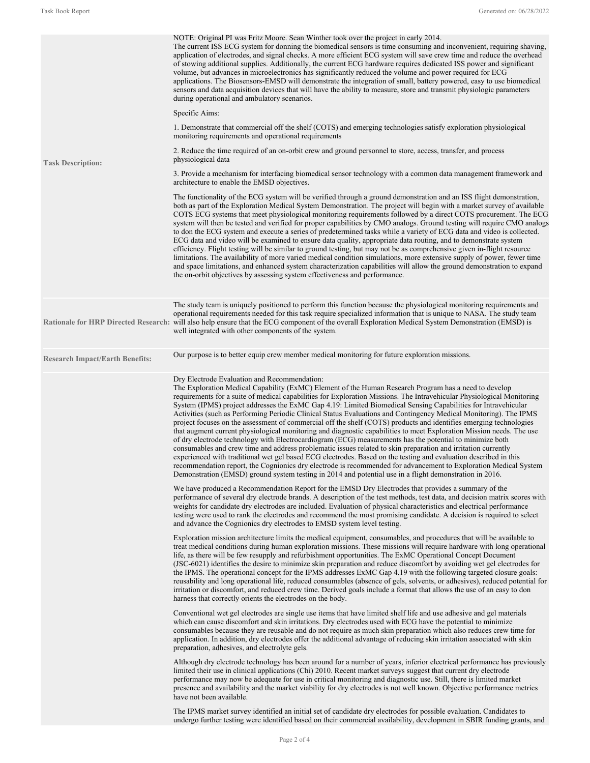| <b>Task Description:</b>               | NOTE: Original PI was Fritz Moore. Sean Winther took over the project in early 2014.<br>The current ISS ECG system for donning the biomedical sensors is time consuming and inconvenient, requiring shaving,<br>application of electrodes, and signal checks. A more efficient ECG system will save crew time and reduce the overhead<br>of stowing additional supplies. Additionally, the current ECG hardware requires dedicated ISS power and significant<br>volume, but advances in microelectronics has significantly reduced the volume and power required for ECG<br>applications. The Biosensors-EMSD will demonstrate the integration of small, battery powered, easy to use biomedical<br>sensors and data acquisition devices that will have the ability to measure, store and transmit physiologic parameters<br>during operational and ambulatory scenarios.                                                                                                                                                                                                                                                                                                                                                                                                                                                                           |  |  |
|----------------------------------------|-----------------------------------------------------------------------------------------------------------------------------------------------------------------------------------------------------------------------------------------------------------------------------------------------------------------------------------------------------------------------------------------------------------------------------------------------------------------------------------------------------------------------------------------------------------------------------------------------------------------------------------------------------------------------------------------------------------------------------------------------------------------------------------------------------------------------------------------------------------------------------------------------------------------------------------------------------------------------------------------------------------------------------------------------------------------------------------------------------------------------------------------------------------------------------------------------------------------------------------------------------------------------------------------------------------------------------------------------------|--|--|
|                                        | Specific Aims:                                                                                                                                                                                                                                                                                                                                                                                                                                                                                                                                                                                                                                                                                                                                                                                                                                                                                                                                                                                                                                                                                                                                                                                                                                                                                                                                      |  |  |
|                                        | 1. Demonstrate that commercial off the shelf (COTS) and emerging technologies satisfy exploration physiological<br>monitoring requirements and operational requirements                                                                                                                                                                                                                                                                                                                                                                                                                                                                                                                                                                                                                                                                                                                                                                                                                                                                                                                                                                                                                                                                                                                                                                             |  |  |
|                                        | 2. Reduce the time required of an on-orbit crew and ground personnel to store, access, transfer, and process<br>physiological data                                                                                                                                                                                                                                                                                                                                                                                                                                                                                                                                                                                                                                                                                                                                                                                                                                                                                                                                                                                                                                                                                                                                                                                                                  |  |  |
|                                        | 3. Provide a mechanism for interfacing biomedical sensor technology with a common data management framework and<br>architecture to enable the EMSD objectives.                                                                                                                                                                                                                                                                                                                                                                                                                                                                                                                                                                                                                                                                                                                                                                                                                                                                                                                                                                                                                                                                                                                                                                                      |  |  |
|                                        | The functionality of the ECG system will be verified through a ground demonstration and an ISS flight demonstration,<br>both as part of the Exploration Medical System Demonstration. The project will begin with a market survey of available<br>COTS ECG systems that meet physiological monitoring requirements followed by a direct COTS procurement. The ECG<br>system will then be tested and verified for proper capabilities by CMO analogs. Ground testing will require CMO analogs<br>to don the ECG system and execute a series of predetermined tasks while a variety of ECG data and video is collected.<br>ECG data and video will be examined to ensure data quality, appropriate data routing, and to demonstrate system<br>efficiency. Flight testing will be similar to ground testing, but may not be as comprehensive given in-flight resource<br>limitations. The availability of more varied medical condition simulations, more extensive supply of power, fewer time<br>and space limitations, and enhanced system characterization capabilities will allow the ground demonstration to expand<br>the on-orbit objectives by assessing system effectiveness and performance.                                                                                                                                                |  |  |
|                                        | The study team is uniquely positioned to perform this function because the physiological monitoring requirements and<br>operational requirements needed for this task require specialized information that is unique to NASA. The study team<br>Rationale for HRP Directed Research: will also help ensure that the ECG component of the overall Exploration Medical System Demonstration (EMSD) is<br>well integrated with other components of the system.                                                                                                                                                                                                                                                                                                                                                                                                                                                                                                                                                                                                                                                                                                                                                                                                                                                                                         |  |  |
| <b>Research Impact/Earth Benefits:</b> | Our purpose is to better equip crew member medical monitoring for future exploration missions.                                                                                                                                                                                                                                                                                                                                                                                                                                                                                                                                                                                                                                                                                                                                                                                                                                                                                                                                                                                                                                                                                                                                                                                                                                                      |  |  |
|                                        | Dry Electrode Evaluation and Recommendation:<br>The Exploration Medical Capability (ExMC) Element of the Human Research Program has a need to develop<br>requirements for a suite of medical capabilities for Exploration Missions. The Intravehicular Physiological Monitoring<br>System (IPMS) project addresses the ExMC Gap 4.19: Limited Biomedical Sensing Capabilities for Intravehicular<br>Activities (such as Performing Periodic Clinical Status Evaluations and Contingency Medical Monitoring). The IPMS<br>project focuses on the assessment of commercial off the shelf (COTS) products and identifies emerging technologies<br>that augment current physiological monitoring and diagnostic capabilities to meet Exploration Mission needs. The use<br>of dry electrode technology with Electrocardiogram (ECG) measurements has the potential to minimize both<br>consumables and crew time and address problematic issues related to skin preparation and irritation currently<br>experienced with traditional wet gel based ECG electrodes. Based on the testing and evaluation described in this<br>recommendation report, the Cognionics dry electrode is recommended for advancement to Exploration Medical System<br>Demonstration (EMSD) ground system testing in 2014 and potential use in a flight demonstration in 2016. |  |  |
|                                        | We have produced a Recommendation Report for the EMSD Dry Electrodes that provides a summary of the<br>performance of several dry electrode brands. A description of the test methods, test data, and decision matrix scores with<br>weights for candidate dry electrodes are included. Evaluation of physical characteristics and electrical performance<br>testing were used to rank the electrodes and recommend the most promising candidate. A decision is required to select<br>and advance the Cognionics dry electrodes to EMSD system level testing.                                                                                                                                                                                                                                                                                                                                                                                                                                                                                                                                                                                                                                                                                                                                                                                       |  |  |
|                                        | Exploration mission architecture limits the medical equipment, consumables, and procedures that will be available to<br>treat medical conditions during human exploration missions. These missions will require hardware with long operational<br>life, as there will be few resupply and refurbishment opportunities. The ExMC Operational Concept Document<br>(JSC-6021) identifies the desire to minimize skin preparation and reduce discomfort by avoiding wet gel electrodes for<br>the IPMS. The operational concept for the IPMS addresses ExMC Gap 4.19 with the following targeted closure goals:<br>reusability and long operational life, reduced consumables (absence of gels, solvents, or adhesives), reduced potential for<br>irritation or discomfort, and reduced crew time. Derived goals include a format that allows the use of an easy to don<br>harness that correctly orients the electrodes on the body.                                                                                                                                                                                                                                                                                                                                                                                                                   |  |  |
|                                        | Conventional wet gel electrodes are single use items that have limited shelf life and use adhesive and gel materials<br>which can cause discomfort and skin irritations. Dry electrodes used with ECG have the potential to minimize<br>consumables because they are reusable and do not require as much skin preparation which also reduces crew time for<br>application. In addition, dry electrodes offer the additional advantage of reducing skin irritation associated with skin<br>preparation, adhesives, and electrolyte gels.                                                                                                                                                                                                                                                                                                                                                                                                                                                                                                                                                                                                                                                                                                                                                                                                             |  |  |
|                                        | Although dry electrode technology has been around for a number of years, inferior electrical performance has previously<br>limited their use in clinical applications (Chi) 2010. Recent market surveys suggest that current dry electrode<br>performance may now be adequate for use in critical monitoring and diagnostic use. Still, there is limited market<br>presence and availability and the market viability for dry electrodes is not well known. Objective performance metrics<br>have not been available.                                                                                                                                                                                                                                                                                                                                                                                                                                                                                                                                                                                                                                                                                                                                                                                                                               |  |  |
|                                        | The IPMS market survey identified an initial set of candidate dry electrodes for possible evaluation. Candidates to<br>undergo further testing were identified based on their commercial availability, development in SBIR funding grants, and                                                                                                                                                                                                                                                                                                                                                                                                                                                                                                                                                                                                                                                                                                                                                                                                                                                                                                                                                                                                                                                                                                      |  |  |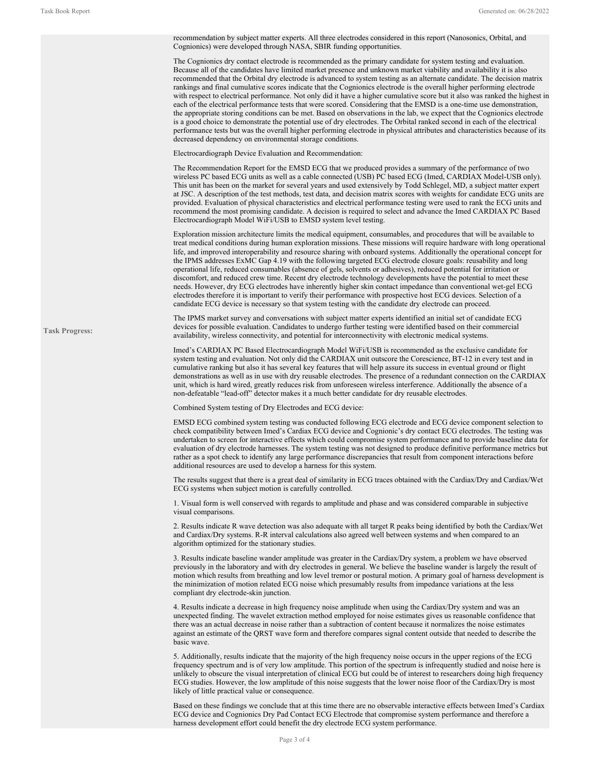**Task Progress:** recommendation by subject matter experts. All three electrodes considered in this report (Nanosonics, Orbital, and Cognionics) were developed through NASA, SBIR funding opportunities. The Cognionics dry contact electrode is recommended as the primary candidate for system testing and evaluation. Because all of the candidates have limited market presence and unknown market viability and availability it is also recommended that the Orbital dry electrode is advanced to system testing as an alternate candidate. The decision matrix rankings and final cumulative scores indicate that the Cognionics electrode is the overall higher performing electrode with respect to electrical performance. Not only did it have a higher cumulative score but it also was ranked the highest in each of the electrical performance tests that were scored. Considering that the EMSD is a one-time use demonstration, the appropriate storing conditions can be met. Based on observations in the lab, we expect that the Cognionics electrode is a good choice to demonstrate the potential use of dry electrodes. The Orbital ranked second in each of the electrical performance tests but was the overall higher performing electrode in physical attributes and characteristics because of its decreased dependency on environmental storage conditions. Electrocardiograph Device Evaluation and Recommendation: The Recommendation Report for the EMSD ECG that we produced provides a summary of the performance of two wireless PC based ECG units as well as a cable connected (USB) PC based ECG (Imed, CARDIAX Model-USB only). This unit has been on the market for several years and used extensively by Todd Schlegel, MD, a subject matter expert at JSC. A description of the test methods, test data, and decision matrix scores with weights for candidate ECG units are provided. Evaluation of physical characteristics and electrical performance testing were used to rank the ECG units and recommend the most promising candidate. A decision is required to select and advance the Imed CARDIAX PC Based Electrocardiograph Model WiFi/USB to EMSD system level testing. Exploration mission architecture limits the medical equipment, consumables, and procedures that will be available to treat medical conditions during human exploration missions. These missions will require hardware with long operational life, and improved interoperability and resource sharing with onboard systems. Additionally the operational concept for the IPMS addresses ExMC Gap 4.19 with the following targeted ECG electrode closure goals: reusability and long operational life, reduced consumables (absence of gels, solvents or adhesives), reduced potential for irritation or discomfort, and reduced crew time. Recent dry electrode technology developments have the potential to meet these needs. However, dry ECG electrodes have inherently higher skin contact impedance than conventional wet-gel ECG electrodes therefore it is important to verify their performance with prospective host ECG devices. Selection of a candidate ECG device is necessary so that system testing with the candidate dry electrode can proceed. The IPMS market survey and conversations with subject matter experts identified an initial set of candidate ECG devices for possible evaluation. Candidates to undergo further testing were identified based on their commercial availability, wireless connectivity, and potential for interconnectivity with electronic medical systems. Imed's CARDIAX PC Based Electrocardiograph Model WiFi/USB is recommended as the exclusive candidate for system testing and evaluation. Not only did the CARDIAX unit outscore the Corescience, BT-12 in every test and in cumulative ranking but also it has several key features that will help assure its success in eventual ground or flight demonstrations as well as in use with dry reusable electrodes. The presence of a redundant connection on the CARDIAX unit, which is hard wired, greatly reduces risk from unforeseen wireless interference. Additionally the absence of a non-defeatable "lead-off" detector makes it a much better candidate for dry reusable electrodes. Combined System testing of Dry Electrodes and ECG device: EMSD ECG combined system testing was conducted following ECG electrode and ECG device component selection to check compatibility between Imed's Cardiax ECG device and Cognionic's dry contact ECG electrodes. The testing was undertaken to screen for interactive effects which could compromise system performance and to provide baseline data for evaluation of dry electrode harnesses. The system testing was not designed to produce definitive performance metrics but rather as a spot check to identify any large performance discrepancies that result from component interactions before additional resources are used to develop a harness for this system. The results suggest that there is a great deal of similarity in ECG traces obtained with the Cardiax/Dry and Cardiax/Wet ECG systems when subject motion is carefully controlled. 1. Visual form is well conserved with regards to amplitude and phase and was considered comparable in subjective visual comparisons. 2. Results indicate R wave detection was also adequate with all target R peaks being identified by both the Cardiax/Wet and Cardiax/Dry systems. R-R interval calculations also agreed well between systems and when compared to an algorithm optimized for the stationary studies. 3. Results indicate baseline wander amplitude was greater in the Cardiax/Dry system, a problem we have observed previously in the laboratory and with dry electrodes in general. We believe the baseline wander is largely the result of motion which results from breathing and low level tremor or postural motion. A primary goal of harness development is the minimization of motion related ECG noise which presumably results from impedance variations at the less compliant dry electrode-skin junction. 4. Results indicate a decrease in high frequency noise amplitude when using the Cardiax/Dry system and was an unexpected finding. The wavelet extraction method employed for noise estimates gives us reasonable confidence that there was an actual decrease in noise rather than a subtraction of content because it normalizes the noise estimates against an estimate of the QRST wave form and therefore compares signal content outside that needed to describe the basic wave. 5. Additionally, results indicate that the majority of the high frequency noise occurs in the upper regions of the ECG frequency spectrum and is of very low amplitude. This portion of the spectrum is infrequently studied and noise here is unlikely to obscure the visual interpretation of clinical ECG but could be of interest to researchers doing high frequency ECG studies. However, the low amplitude of this noise suggests that the lower noise floor of the Cardiax/Dry is most likely of little practical value or consequence. Based on these findings we conclude that at this time there are no observable interactive effects between Imed's Cardiax ECG device and Cognionics Dry Pad Contact ECG Electrode that compromise system performance and therefore a harness development effort could benefit the dry electrode ECG system performance.